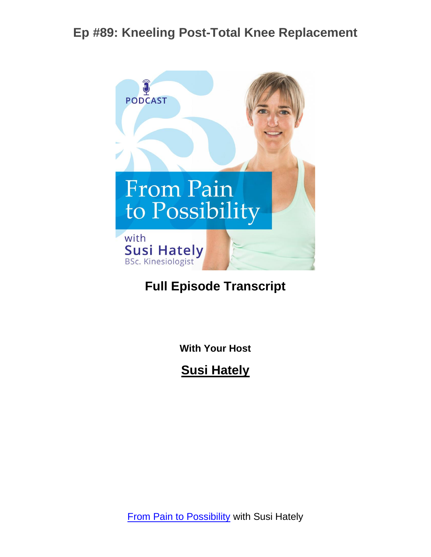

#### **Full Episode Transcript**

**With Your Host**

**Susi Hately**

**[From Pain to Possibility](https://www.functionalsynergy.com/podcast/) with Susi Hately**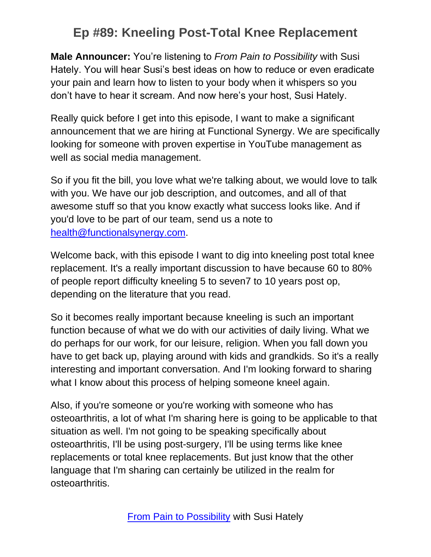**Male Announcer:** You're listening to *From Pain to Possibility* with Susi Hately. You will hear Susi's best ideas on how to reduce or even eradicate your pain and learn how to listen to your body when it whispers so you don't have to hear it scream. And now here's your host, Susi Hately.

Really quick before I get into this episode, I want to make a significant announcement that we are hiring at Functional Synergy. We are specifically looking for someone with proven expertise in YouTube management as well as social media management.

So if you fit the bill, you love what we're talking about, we would love to talk with you. We have our job description, and outcomes, and all of that awesome stuff so that you know exactly what success looks like. And if you'd love to be part of our team, send us a note to [health@functionalsynergy.com.](mailto:health@functionalsynergy.com)

Welcome back, with this episode I want to dig into kneeling post total knee replacement. It's a really important discussion to have because 60 to 80% of people report difficulty kneeling 5 to seven7 to 10 years post op, depending on the literature that you read.

So it becomes really important because kneeling is such an important function because of what we do with our activities of daily living. What we do perhaps for our work, for our leisure, religion. When you fall down you have to get back up, playing around with kids and grandkids. So it's a really interesting and important conversation. And I'm looking forward to sharing what I know about this process of helping someone kneel again.

Also, if you're someone or you're working with someone who has osteoarthritis, a lot of what I'm sharing here is going to be applicable to that situation as well. I'm not going to be speaking specifically about osteoarthritis, I'll be using post-surgery, I'll be using terms like knee replacements or total knee replacements. But just know that the other language that I'm sharing can certainly be utilized in the realm for osteoarthritis.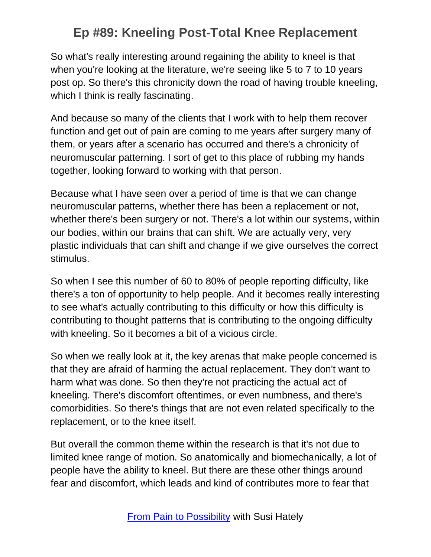So what's really interesting around regaining the ability to kneel is that when you're looking at the literature, we're seeing like 5 to 7 to 10 years post op. So there's this chronicity down the road of having trouble kneeling, which I think is really fascinating.

And because so many of the clients that I work with to help them recover function and get out of pain are coming to me years after surgery many of them, or years after a scenario has occurred and there's a chronicity of neuromuscular patterning. I sort of get to this place of rubbing my hands together, looking forward to working with that person.

Because what I have seen over a period of time is that we can change neuromuscular patterns, whether there has been a replacement or not, whether there's been surgery or not. There's a lot within our systems, within our bodies, within our brains that can shift. We are actually very, very plastic individuals that can shift and change if we give ourselves the correct stimulus.

So when I see this number of 60 to 80% of people reporting difficulty, like there's a ton of opportunity to help people. And it becomes really interesting to see what's actually contributing to this difficulty or how this difficulty is contributing to thought patterns that is contributing to the ongoing difficulty with kneeling. So it becomes a bit of a vicious circle.

So when we really look at it, the key arenas that make people concerned is that they are afraid of harming the actual replacement. They don't want to harm what was done. So then they're not practicing the actual act of kneeling. There's discomfort oftentimes, or even numbness, and there's comorbidities. So there's things that are not even related specifically to the replacement, or to the knee itself.

But overall the common theme within the research is that it's not due to limited knee range of motion. So anatomically and biomechanically, a lot of people have the ability to kneel. But there are these other things around fear and discomfort, which leads and kind of contributes more to fear that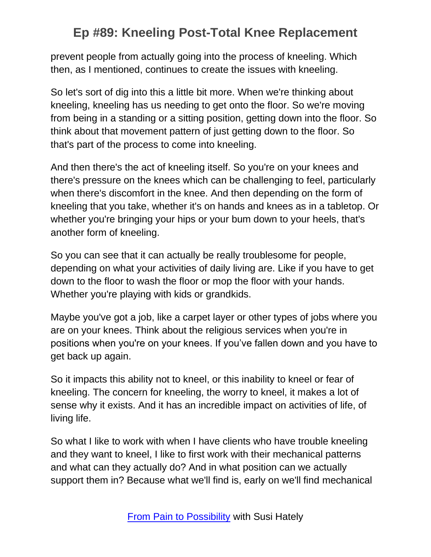prevent people from actually going into the process of kneeling. Which then, as I mentioned, continues to create the issues with kneeling.

So let's sort of dig into this a little bit more. When we're thinking about kneeling, kneeling has us needing to get onto the floor. So we're moving from being in a standing or a sitting position, getting down into the floor. So think about that movement pattern of just getting down to the floor. So that's part of the process to come into kneeling.

And then there's the act of kneeling itself. So you're on your knees and there's pressure on the knees which can be challenging to feel, particularly when there's discomfort in the knee. And then depending on the form of kneeling that you take, whether it's on hands and knees as in a tabletop. Or whether you're bringing your hips or your bum down to your heels, that's another form of kneeling.

So you can see that it can actually be really troublesome for people, depending on what your activities of daily living are. Like if you have to get down to the floor to wash the floor or mop the floor with your hands. Whether you're playing with kids or grandkids.

Maybe you've got a job, like a carpet layer or other types of jobs where you are on your knees. Think about the religious services when you're in positions when you're on your knees. If you've fallen down and you have to get back up again.

So it impacts this ability not to kneel, or this inability to kneel or fear of kneeling. The concern for kneeling, the worry to kneel, it makes a lot of sense why it exists. And it has an incredible impact on activities of life, of living life.

So what I like to work with when I have clients who have trouble kneeling and they want to kneel, I like to first work with their mechanical patterns and what can they actually do? And in what position can we actually support them in? Because what we'll find is, early on we'll find mechanical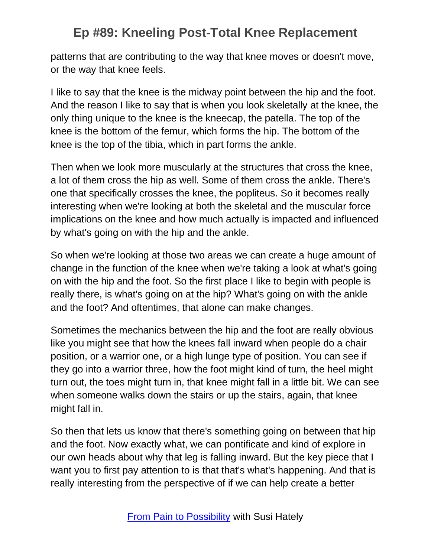patterns that are contributing to the way that knee moves or doesn't move, or the way that knee feels.

I like to say that the knee is the midway point between the hip and the foot. And the reason I like to say that is when you look skeletally at the knee, the only thing unique to the knee is the kneecap, the patella. The top of the knee is the bottom of the femur, which forms the hip. The bottom of the knee is the top of the tibia, which in part forms the ankle.

Then when we look more muscularly at the structures that cross the knee, a lot of them cross the hip as well. Some of them cross the ankle. There's one that specifically crosses the knee, the popliteus. So it becomes really interesting when we're looking at both the skeletal and the muscular force implications on the knee and how much actually is impacted and influenced by what's going on with the hip and the ankle.

So when we're looking at those two areas we can create a huge amount of change in the function of the knee when we're taking a look at what's going on with the hip and the foot. So the first place I like to begin with people is really there, is what's going on at the hip? What's going on with the ankle and the foot? And oftentimes, that alone can make changes.

Sometimes the mechanics between the hip and the foot are really obvious like you might see that how the knees fall inward when people do a chair position, or a warrior one, or a high lunge type of position. You can see if they go into a warrior three, how the foot might kind of turn, the heel might turn out, the toes might turn in, that knee might fall in a little bit. We can see when someone walks down the stairs or up the stairs, again, that knee might fall in.

So then that lets us know that there's something going on between that hip and the foot. Now exactly what, we can pontificate and kind of explore in our own heads about why that leg is falling inward. But the key piece that I want you to first pay attention to is that that's what's happening. And that is really interesting from the perspective of if we can help create a better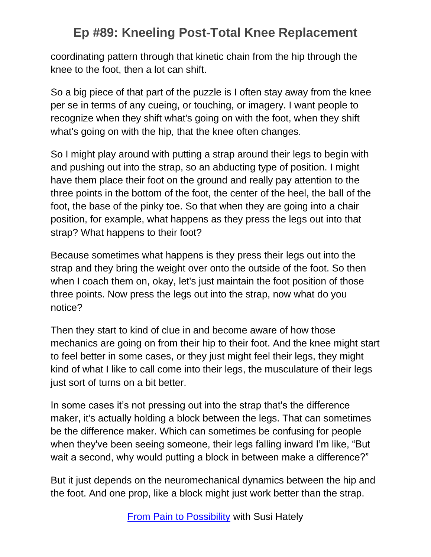coordinating pattern through that kinetic chain from the hip through the knee to the foot, then a lot can shift.

So a big piece of that part of the puzzle is I often stay away from the knee per se in terms of any cueing, or touching, or imagery. I want people to recognize when they shift what's going on with the foot, when they shift what's going on with the hip, that the knee often changes.

So I might play around with putting a strap around their legs to begin with and pushing out into the strap, so an abducting type of position. I might have them place their foot on the ground and really pay attention to the three points in the bottom of the foot, the center of the heel, the ball of the foot, the base of the pinky toe. So that when they are going into a chair position, for example, what happens as they press the legs out into that strap? What happens to their foot?

Because sometimes what happens is they press their legs out into the strap and they bring the weight over onto the outside of the foot. So then when I coach them on, okay, let's just maintain the foot position of those three points. Now press the legs out into the strap, now what do you notice?

Then they start to kind of clue in and become aware of how those mechanics are going on from their hip to their foot. And the knee might start to feel better in some cases, or they just might feel their legs, they might kind of what I like to call come into their legs, the musculature of their legs just sort of turns on a bit better.

In some cases it's not pressing out into the strap that's the difference maker, it's actually holding a block between the legs. That can sometimes be the difference maker. Which can sometimes be confusing for people when they've been seeing someone, their legs falling inward I'm like, "But wait a second, why would putting a block in between make a difference?"

But it just depends on the neuromechanical dynamics between the hip and the foot. And one prop, like a block might just work better than the strap.

[From Pain to Possibility](https://www.functionalsynergy.com/podcast/) with Susi Hately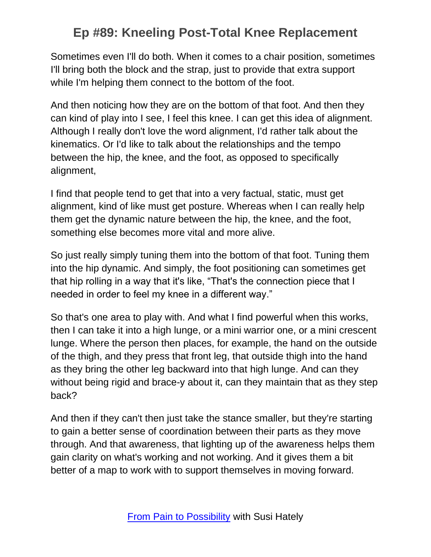Sometimes even I'll do both. When it comes to a chair position, sometimes I'll bring both the block and the strap, just to provide that extra support while I'm helping them connect to the bottom of the foot.

And then noticing how they are on the bottom of that foot. And then they can kind of play into I see, I feel this knee. I can get this idea of alignment. Although I really don't love the word alignment, I'd rather talk about the kinematics. Or I'd like to talk about the relationships and the tempo between the hip, the knee, and the foot, as opposed to specifically alignment,

I find that people tend to get that into a very factual, static, must get alignment, kind of like must get posture. Whereas when I can really help them get the dynamic nature between the hip, the knee, and the foot, something else becomes more vital and more alive.

So just really simply tuning them into the bottom of that foot. Tuning them into the hip dynamic. And simply, the foot positioning can sometimes get that hip rolling in a way that it's like, "That's the connection piece that I needed in order to feel my knee in a different way."

So that's one area to play with. And what I find powerful when this works, then I can take it into a high lunge, or a mini warrior one, or a mini crescent lunge. Where the person then places, for example, the hand on the outside of the thigh, and they press that front leg, that outside thigh into the hand as they bring the other leg backward into that high lunge. And can they without being rigid and brace-y about it, can they maintain that as they step back?

And then if they can't then just take the stance smaller, but they're starting to gain a better sense of coordination between their parts as they move through. And that awareness, that lighting up of the awareness helps them gain clarity on what's working and not working. And it gives them a bit better of a map to work with to support themselves in moving forward.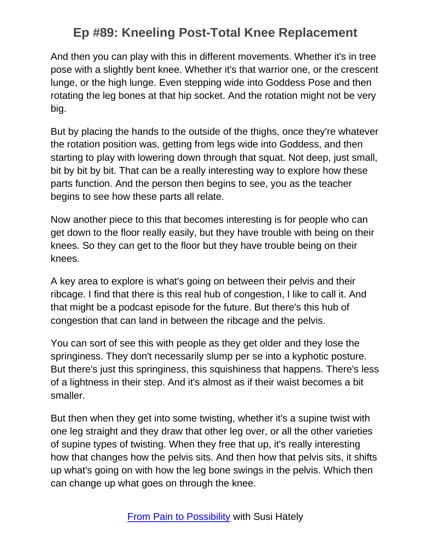And then you can play with this in different movements. Whether it's in tree pose with a slightly bent knee. Whether it's that warrior one, or the crescent lunge, or the high lunge. Even stepping wide into Goddess Pose and then rotating the leg bones at that hip socket. And the rotation might not be very big.

But by placing the hands to the outside of the thighs, once they're whatever the rotation position was, getting from legs wide into Goddess, and then starting to play with lowering down through that squat. Not deep, just small, bit by bit by bit. That can be a really interesting way to explore how these parts function. And the person then begins to see, you as the teacher begins to see how these parts all relate.

Now another piece to this that becomes interesting is for people who can get down to the floor really easily, but they have trouble with being on their knees. So they can get to the floor but they have trouble being on their knees.

A key area to explore is what's going on between their pelvis and their ribcage. I find that there is this real hub of congestion, I like to call it. And that might be a podcast episode for the future. But there's this hub of congestion that can land in between the ribcage and the pelvis.

You can sort of see this with people as they get older and they lose the springiness. They don't necessarily slump per se into a kyphotic posture. But there's just this springiness, this squishiness that happens. There's less of a lightness in their step. And it's almost as if their waist becomes a bit smaller.

But then when they get into some twisting, whether it's a supine twist with one leg straight and they draw that other leg over, or all the other varieties of supine types of twisting. When they free that up, it's really interesting how that changes how the pelvis sits. And then how that pelvis sits, it shifts up what's going on with how the leg bone swings in the pelvis. Which then can change up what goes on through the knee.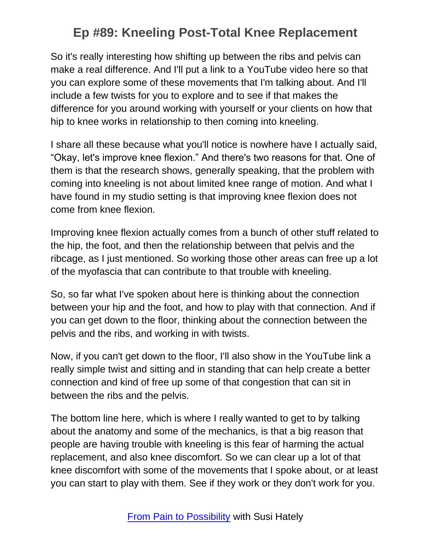So it's really interesting how shifting up between the ribs and pelvis can make a real difference. And I'll put a link to a YouTube video here so that you can explore some of these movements that I'm talking about. And I'll include a few twists for you to explore and to see if that makes the difference for you around working with yourself or your clients on how that hip to knee works in relationship to then coming into kneeling.

I share all these because what you'll notice is nowhere have I actually said, "Okay, let's improve knee flexion." And there's two reasons for that. One of them is that the research shows, generally speaking, that the problem with coming into kneeling is not about limited knee range of motion. And what I have found in my studio setting is that improving knee flexion does not come from knee flexion.

Improving knee flexion actually comes from a bunch of other stuff related to the hip, the foot, and then the relationship between that pelvis and the ribcage, as I just mentioned. So working those other areas can free up a lot of the myofascia that can contribute to that trouble with kneeling.

So, so far what I've spoken about here is thinking about the connection between your hip and the foot, and how to play with that connection. And if you can get down to the floor, thinking about the connection between the pelvis and the ribs, and working in with twists.

Now, if you can't get down to the floor, I'll also show in the YouTube link a really simple twist and sitting and in standing that can help create a better connection and kind of free up some of that congestion that can sit in between the ribs and the pelvis.

The bottom line here, which is where I really wanted to get to by talking about the anatomy and some of the mechanics, is that a big reason that people are having trouble with kneeling is this fear of harming the actual replacement, and also knee discomfort. So we can clear up a lot of that knee discomfort with some of the movements that I spoke about, or at least you can start to play with them. See if they work or they don't work for you.